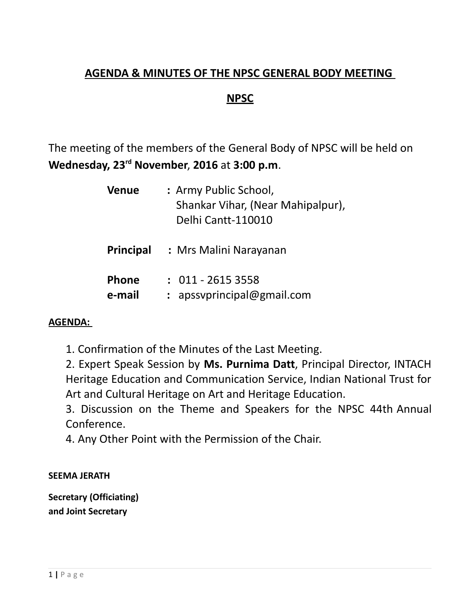## **AGENDA & MINUTES OF THE NPSC GENERAL BODY MEETING**

### **NPSC**

The meeting of the members of the General Body of NPSC will be held on **Wednesday, 23rd November**, **2016** at **3:00 p.m**.

| <b>Venue</b>           | : Army Public School,<br>Shankar Vihar, (Near Mahipalpur),<br>Delhi Cantt-110010 |
|------------------------|----------------------------------------------------------------------------------|
| Principal              | : Mrs Malini Narayanan                                                           |
| <b>Phone</b><br>e-mail | $: 011 - 26153558$<br>$:$ apssyprincipal@gmail.com                               |

#### **AGENDA:**

1. Confirmation of the Minutes of the Last Meeting.

2. Expert Speak Session by **Ms. Purnima Datt**, Principal Director, INTACH Heritage Education and Communication Service, Indian National Trust for Art and Cultural Heritage on Art and Heritage Education.

3. Discussion on the Theme and Speakers for the NPSC 44th Annual Conference.

4. Any Other Point with the Permission of the Chair.

#### **SEEMA JERATH**

**Secretary (Officiating) and Joint Secretary**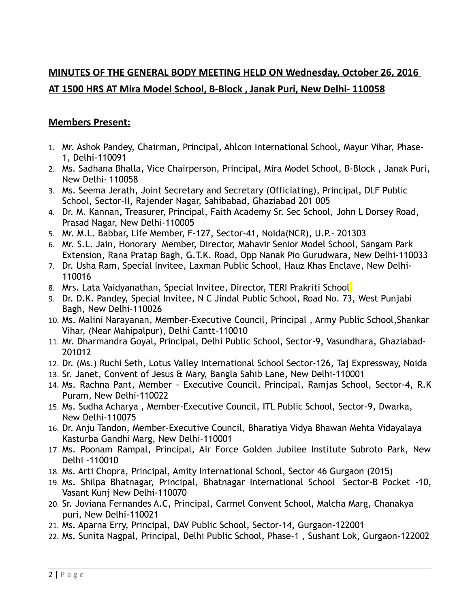## **MINUTES OF THE GENERAL BODY MEETING HELD ON Wednesday, October 26, 2016 AT 1500 HRS AT Mira Model School, B-Block , Janak Puri, New Delhi- 110058**

#### **Members Present:**

- 1. Mr. Ashok Pandey, Chairman, Principal, Ahlcon International School, Mayur Vihar, Phase-1, Delhi-110091
- 2. Ms. Sadhana Bhalla, Vice Chairperson, Principal, Mira Model School, B-Block , Janak Puri, New Delhi- 110058
- 3. Ms. Seema Jerath, Joint Secretary and Secretary (Officiating), Principal, DLF Public School, Sector-II, Rajender Nagar, Sahibabad, Ghaziabad 201 005
- 4. Dr. M. Kannan**,** Treasurer, Principal, Faith Academy Sr. Sec School, John L Dorsey Road, Prasad Nagar, New Delhi-110005
- 5. Mr. M.L. Babbar, Life Member, F-127, Sector-41, Noida(NCR), U.P.- 201303
- 6. Mr. S.L. Jain, Honorary Member, Director, Mahavir Senior Model School, Sangam Park Extension, Rana Pratap Bagh, G.T.K. Road, Opp Nanak Pio Gurudwara, New Delhi-110033
- 7. Dr. Usha Ram, Special Invitee, Laxman Public School, Hauz Khas Enclave, New Delhi-110016
- 8. Mrs. Lata Vaidyanathan, Special Invitee, Director, TERI Prakriti School
- 9. Dr. D.K. Pandey, Special Invitee, N C Jindal Public School, Road No. 73, West Punjabi Bagh, New Delhi-110026
- 10. Ms. Malini Narayanan, Member-Executive Council, Principal , Army Public School,Shankar Vihar, (Near Mahipalpur), Delhi Cantt-110010
- 11. Mr. Dharmandra Goyal, Principal, Delhi Public School, Sector-9, Vasundhara, Ghaziabad-201012
- 12. Dr. (Ms.) Ruchi Seth, Lotus Valley International School Sector-126, Taj Expressway, Noida
- 13. Sr. Janet, Convent of Jesus & Mary, Bangla Sahib Lane, New Delhi-110001
- 14. Ms. Rachna Pant, Member Executive Council, Principal, Ramjas School, Sector-4, R.K Puram, New Delhi-110022
- 15. Ms. Sudha Acharya , Member-Executive Council, ITL Public School, Sector-9, Dwarka, New Delhi-110075
- 16. Dr. Anju Tandon, Member-Executive Council, Bharatiya Vidya Bhawan Mehta Vidayalaya Kasturba Gandhi Marg, New Delhi-110001
- 17. Ms. Poonam Rampal, Principal, Air Force Golden Jubilee Institute Subroto Park, New Delhi -110010
- 18. Ms. Arti Chopra, Principal, Amity International School, Sector 46 Gurgaon (2015)
- 19. Ms. Shilpa Bhatnagar, Principal, Bhatnagar International School Sector-B Pocket -10, Vasant Kunj New Delhi-110070
- 20. Sr. Joviana Fernandes A.C, Principal, Carmel Convent School, Malcha Marg, Chanakya puri, New Delhi-110021
- 21. Ms. Aparna Erry, Principal, DAV Public School, Sector-14, Gurgaon-122001
- 22. Ms. Sunita Nagpal, Principal, Delhi Public School, Phase-1 , Sushant Lok, Gurgaon-122002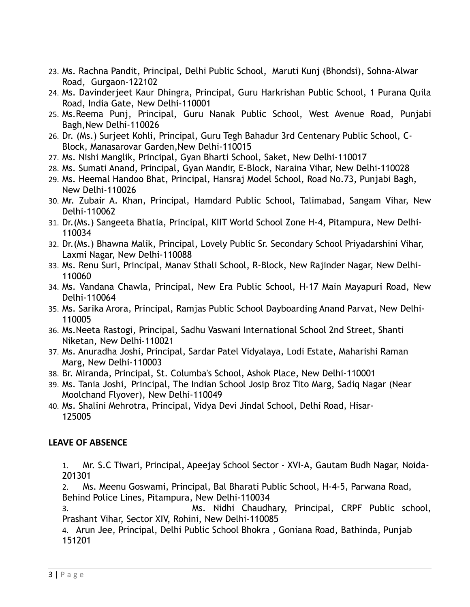- 23. Ms. Rachna Pandit, Principal, Delhi Public School, Maruti Kunj (Bhondsi), Sohna-Alwar Road, Gurgaon-122102
- 24. Ms. Davinderjeet Kaur Dhingra, Principal, Guru Harkrishan Public School, 1 Purana Quila Road, India Gate, New Delhi-110001
- 25. Ms.Reema Punj, Principal, Guru Nanak Public School, West Avenue Road, Punjabi Bagh,New Delhi-110026
- 26. Dr. (Ms.) Surjeet Kohli, Principal, Guru Tegh Bahadur 3rd Centenary Public School, C-Block, Manasarovar Garden,New Delhi-110015
- 27. Ms. Nishi Manglik, Principal, Gyan Bharti School, Saket, New Delhi-110017
- 28. Ms. Sumati Anand, Principal, Gyan Mandir, E-Block, Naraina Vihar, New Delhi-110028
- 29. Ms. Heemal Handoo Bhat, Principal, Hansraj Model School, Road No.73, Punjabi Bagh, New Delhi-110026
- 30. Mr. Zubair A. Khan, Principal, Hamdard Public School, Talimabad, Sangam Vihar, New Delhi-110062
- 31. Dr.(Ms.) Sangeeta Bhatia, Principal, KIIT World School Zone H-4, Pitampura, New Delhi-110034
- 32. Dr.(Ms.) Bhawna Malik, Principal, Lovely Public Sr. Secondary School Priyadarshini Vihar, Laxmi Nagar, New Delhi-110088
- 33. Ms. Renu Suri, Principal, Manav Sthali School, R-Block, New Rajinder Nagar, New Delhi-110060
- 34. Ms. Vandana Chawla, Principal, New Era Public School, H-17 Main Mayapuri Road, New Delhi-110064
- 35. Ms. Sarika Arora, Principal, Ramjas Public School Dayboarding Anand Parvat, New Delhi-110005
- 36. Ms.Neeta Rastogi, Principal, Sadhu Vaswani International School 2nd Street, Shanti Niketan, New Delhi-110021
- 37. Ms. Anuradha Joshi, Principal, Sardar Patel Vidyalaya, Lodi Estate, Maharishi Raman Marg, New Delhi-110003
- 38. Br. Miranda, Principal, St. Columba's School, Ashok Place, New Delhi-110001
- 39. Ms. Tania Joshi, Principal, The Indian School Josip Broz Tito Marg, Sadiq Nagar (Near Moolchand Flyover), New Delhi-110049
- 40. Ms. Shalini Mehrotra, Principal, Vidya Devi Jindal School, Delhi Road, Hisar-125005

#### **LEAVE OF ABSENCE**

1. Mr. S.C Tiwari, Principal, Apeejay School Sector - XVI-A, Gautam Budh Nagar, Noida-201301

2. Ms. Meenu Goswami, Principal, Bal Bharati Public School, H-4-5, Parwana Road, Behind Police Lines, Pitampura, New Delhi-110034

3. Ms. Nidhi Chaudhary, Principal, CRPF Public school, Prashant Vihar, Sector XIV, Rohini, New Delhi-110085

4. Arun Jee, Principal, Delhi Public School Bhokra , Goniana Road, Bathinda, Punjab 151201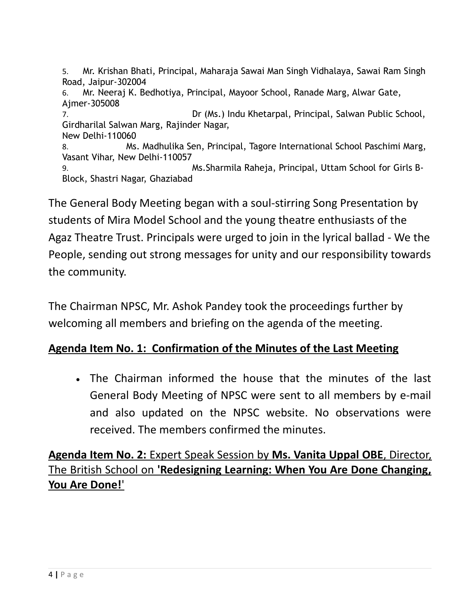5. Mr. Krishan Bhati, Principal, Maharaja Sawai Man Singh Vidhalaya, Sawai Ram Singh Road, Jaipur-302004 6. Mr. Neeraj K. Bedhotiya, Principal, Mayoor School, Ranade Marg, Alwar Gate, Ajmer-305008 7. Dr (Ms.) Indu Khetarpal, Principal, Salwan Public School, Girdharilal Salwan Marg, Rajinder Nagar, New Delhi-110060 8. Ms. Madhulika Sen, Principal, Tagore International School Paschimi Marg, Vasant Vihar, New Delhi-110057 9. Ms.Sharmila Raheja, Principal, Uttam School for Girls B-Block, Shastri Nagar, Ghaziabad

The General Body Meeting began with a soul-stirring Song Presentation by students of Mira Model School and the young theatre enthusiasts of the Agaz Theatre Trust. Principals were urged to join in the lyrical ballad - We the People, sending out strong messages for unity and our responsibility towards the community.

The Chairman NPSC, Mr. Ashok Pandey took the proceedings further by welcoming all members and briefing on the agenda of the meeting.

## **Agenda Item No. 1: Confirmation of the Minutes of the Last Meeting**

 The Chairman informed the house that the minutes of the last General Body Meeting of NPSC were sent to all members by e-mail and also updated on the NPSC website. No observations were received. The members confirmed the minutes.

# **Agenda Item No. 2:** Expert Speak Session by **Ms. Vanita Uppal OBE**, Director, The British School on **'Redesigning Learning: When You Are Done Changing, You Are Done!**'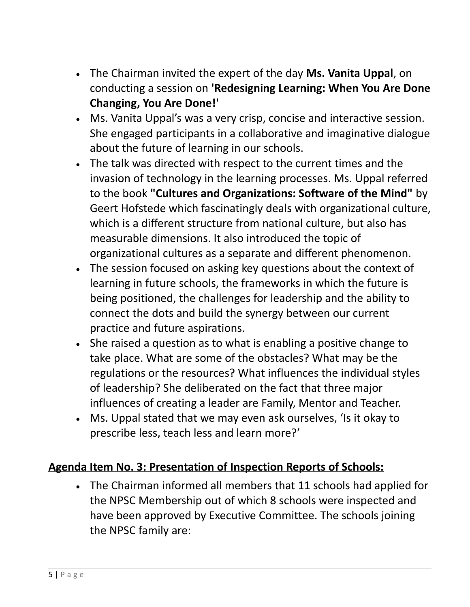- The Chairman invited the expert of the day **Ms. Vanita Uppal**, on conducting a session on **'Redesigning Learning: When You Are Done Changing, You Are Done!**'
- Ms. Vanita Uppal's was a very crisp, concise and interactive session. She engaged participants in a collaborative and imaginative dialogue about the future of learning in our schools.
- The talk was directed with respect to the current times and the invasion of technology in the learning processes. Ms. Uppal referred to the book **"Cultures and Organizations: Software of the Mind"** by Geert Hofstede which fascinatingly deals with organizational culture, which is a different structure from national culture, but also has measurable dimensions. It also introduced the topic of organizational cultures as a separate and different phenomenon.
- The session focused on asking key questions about the context of learning in future schools, the frameworks in which the future is being positioned, the challenges for leadership and the ability to connect the dots and build the synergy between our current practice and future aspirations.
- She raised a question as to what is enabling a positive change to take place. What are some of the obstacles? What may be the regulations or the resources? What influences the individual styles of leadership? She deliberated on the fact that three major influences of creating a leader are Family, Mentor and Teacher.
- Ms. Uppal stated that we may even ask ourselves, 'Is it okay to prescribe less, teach less and learn more?'

## **Agenda Item No. 3: Presentation of Inspection Reports of Schools:**

 The Chairman informed all members that 11 schools had applied for the NPSC Membership out of which 8 schools were inspected and have been approved by Executive Committee. The schools joining the NPSC family are: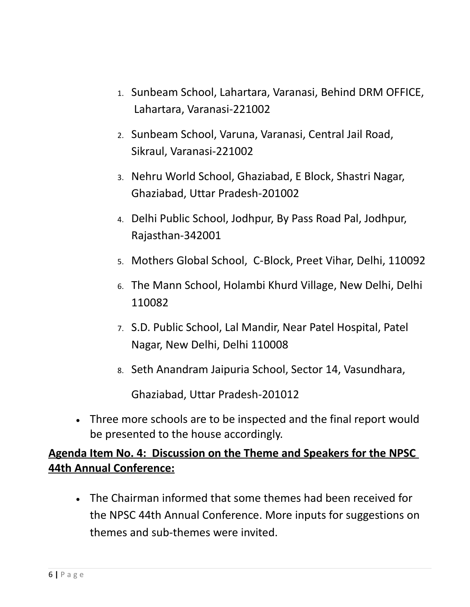- 1. Sunbeam School, Lahartara, Varanasi, Behind DRM OFFICE, Lahartara, Varanasi-221002
- 2. Sunbeam School, Varuna, Varanasi, Central Jail Road, Sikraul, Varanasi-221002
- 3. Nehru World School, Ghaziabad, E Block, Shastri Nagar, Ghaziabad, Uttar Pradesh-201002
- 4. Delhi Public School, Jodhpur, By Pass Road Pal, Jodhpur, Rajasthan-342001
- 5. Mothers Global School, C-Block, Preet Vihar, Delhi, 110092
- 6. The Mann School, Holambi Khurd Village, New Delhi, Delhi 110082
- 7. S.D. Public School, Lal Mandir, Near Patel Hospital, Patel Nagar, New Delhi, Delhi 110008
- 8. Seth Anandram Jaipuria School, Sector 14, Vasundhara,

Ghaziabad, Uttar Pradesh-201012

 Three more schools are to be inspected and the final report would be presented to the house accordingly.

# **Agenda Item No. 4: Discussion on the Theme and Speakers for the NPSC 44th Annual Conference:**

 The Chairman informed that some themes had been received for the NPSC 44th Annual Conference. More inputs for suggestions on themes and sub-themes were invited.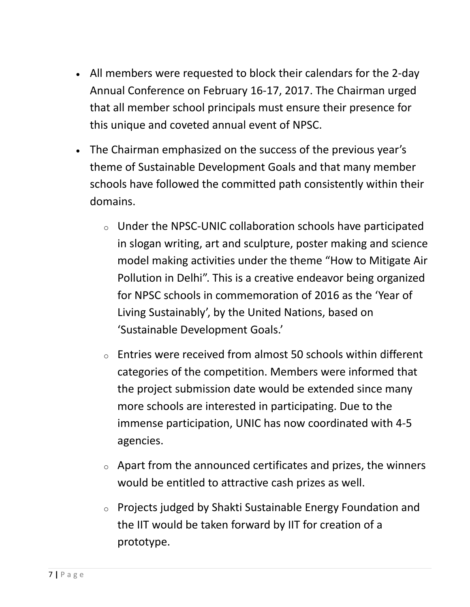- All members were requested to block their calendars for the 2-day Annual Conference on February 16-17, 2017. The Chairman urged that all member school principals must ensure their presence for this unique and coveted annual event of NPSC.
- The Chairman emphasized on the success of the previous year's theme of Sustainable Development Goals and that many member schools have followed the committed path consistently within their domains.
	- <sup>o</sup> Under the NPSC-UNIC collaboration schools have participated in slogan writing, art and sculpture, poster making and science model making activities under the theme "How to Mitigate Air Pollution in Delhi". This is a creative endeavor being organized for NPSC schools in commemoration of 2016 as the 'Year of Living Sustainably', by the United Nations, based on 'Sustainable Development Goals.'
	- $\circ$  Entries were received from almost 50 schools within different categories of the competition. Members were informed that the project submission date would be extended since many more schools are interested in participating. Due to the immense participation, UNIC has now coordinated with 4-5 agencies.
	- <sup>o</sup> Apart from the announced certificates and prizes, the winners would be entitled to attractive cash prizes as well.
	- <sup>o</sup> Projects judged by Shakti Sustainable Energy Foundation and the IIT would be taken forward by IIT for creation of a prototype.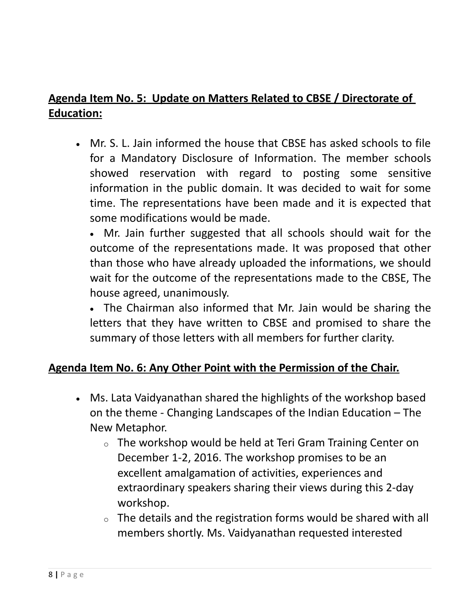# **Agenda Item No. 5: Update on Matters Related to CBSE / Directorate of Education:**

 Mr. S. L. Jain informed the house that CBSE has asked schools to file for a Mandatory Disclosure of Information. The member schools showed reservation with regard to posting some sensitive information in the public domain. It was decided to wait for some time. The representations have been made and it is expected that some modifications would be made.

 Mr. Jain further suggested that all schools should wait for the outcome of the representations made. It was proposed that other than those who have already uploaded the informations, we should wait for the outcome of the representations made to the CBSE, The house agreed, unanimously.

 The Chairman also informed that Mr. Jain would be sharing the letters that they have written to CBSE and promised to share the summary of those letters with all members for further clarity.

### **Agenda Item No. 6: Any Other Point with the Permission of the Chair.**

- Ms. Lata Vaidyanathan shared the highlights of the workshop based on the theme - Changing Landscapes of the Indian Education – The New Metaphor.
	- <sup>o</sup> The workshop would be held at Teri Gram Training Center on December 1-2, 2016. The workshop promises to be an excellent amalgamation of activities, experiences and extraordinary speakers sharing their views during this 2-day workshop.
	- $\circ$  The details and the registration forms would be shared with all members shortly. Ms. Vaidyanathan requested interested